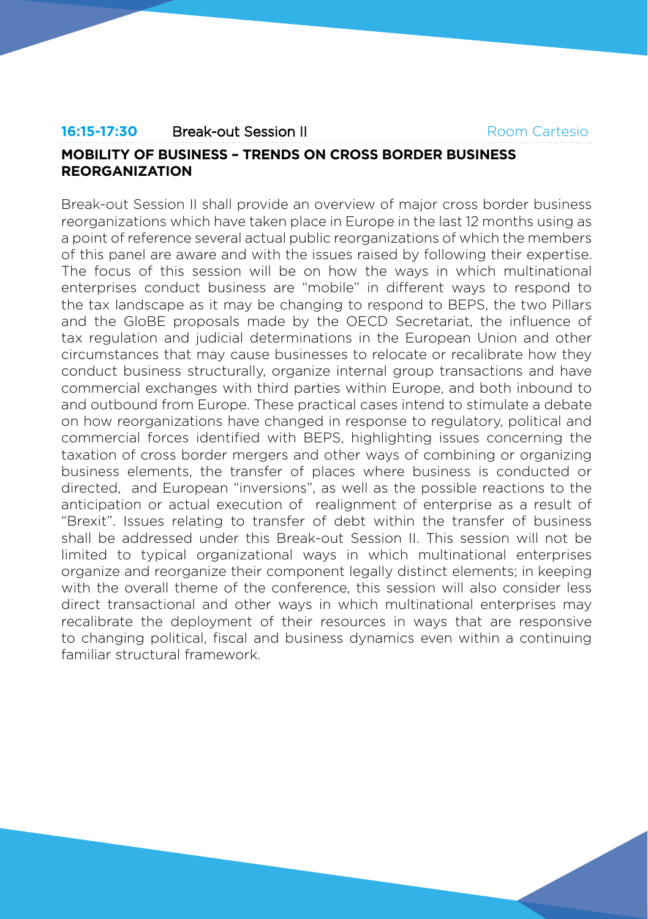# Room Cartesio

# **16:15-17:30** Break-out Session II **MOBILITY OF BUSINESS – TRENDS ON CROSS BORDER BUSINESS REORGANIZATION**

Break-out Session II shall provide an overview of major cross border business reorganizations which have taken place in Europe in the last 12 months using as a point of reference several actual public reorganizations of which the members of this panel are aware and with the issues raised by following their expertise. The focus of this session will be on how the ways in which multinational enterprises conduct business are "mobile" in different ways to respond to the tax landscape as it may be changing to respond to BEPS, the two Pillars and the GloBE proposals made by the OECD Secretariat, the influence of tax regulation and judicial determinations in the European Union and other circumstances that may cause businesses to relocate or recalibrate how they conduct business structurally, organize internal group transactions and have commercial exchanges with third parties within Europe, and both inbound to and outbound from Europe. These practical cases intend to stimulate a debate on how reorganizations have changed in response to regulatory, political and commercial forces identified with BEPS, highlighting issues concerning the taxation of cross border mergers and other ways of combining or organizing business elements, the transfer of places where business is conducted or directed, and European "inversions", as well as the possible reactions to the anticipation or actual execution of realignment of enterprise as a result of "Brexit". Issues relating to transfer of debt within the transfer of business shall be addressed under this Break-out Session II. This session will not be limited to typical organizational ways in which multinational enterprises organize and reorganize their component legally distinct elements; in keeping with the overall theme of the conference, this session will also consider less direct transactional and other ways in which multinational enterprises may recalibrate the deployment of their resources in ways that are responsive to changing political, fiscal and business dynamics even within a continuing familiar structural framework.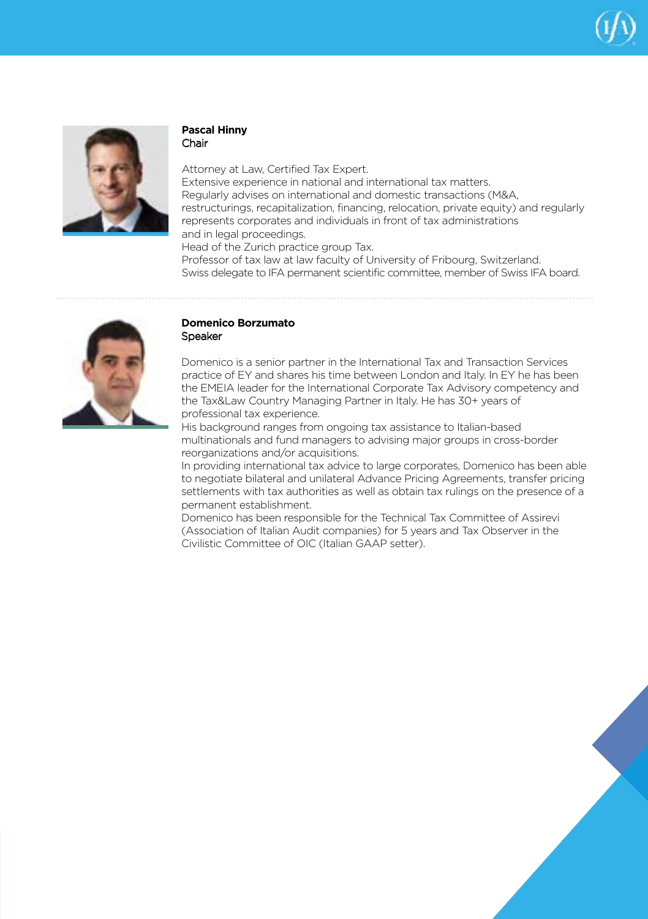



## **Pascal Hinny** Chair

Attorney at Law, Certified Tax Expert. Extensive experience in national and international tax matters. Regularly advises on international and domestic transactions (M&A, restructurings, recapitalization, financing, relocation, private equity) and regularly represents corporates and individuals in front of tax administrations and in legal proceedings.

Head of the Zurich practice group Tax. Professor of tax law at law faculty of University of Fribourg, Switzerland. Swiss delegate to IFA permanent scientific committee, member of Swiss IFA board.



#### **Domenico Borzumato** Speaker

Domenico is a senior partner in the International Tax and Transaction Services practice of EY and shares his time between London and Italy. In EY he has been the EMEIA leader for the International Corporate Tax Advisory competency and the Tax&Law Country Managing Partner in Italy. He has 30+ years of professional tax experience.

His background ranges from ongoing tax assistance to Italian-based multinationals and fund managers to advising major groups in cross-border reorganizations and/or acquisitions.

In providing international tax advice to large corporates, Domenico has been able to negotiate bilateral and unilateral Advance Pricing Agreements, transfer pricing settlements with tax authorities as well as obtain tax rulings on the presence of a permanent establishment.

Domenico has been responsible for the Technical Tax Committee of Assirevi (Association of Italian Audit companies) for 5 years and Tax Observer in the Civilistic Committee of OIC (Italian GAAP setter).